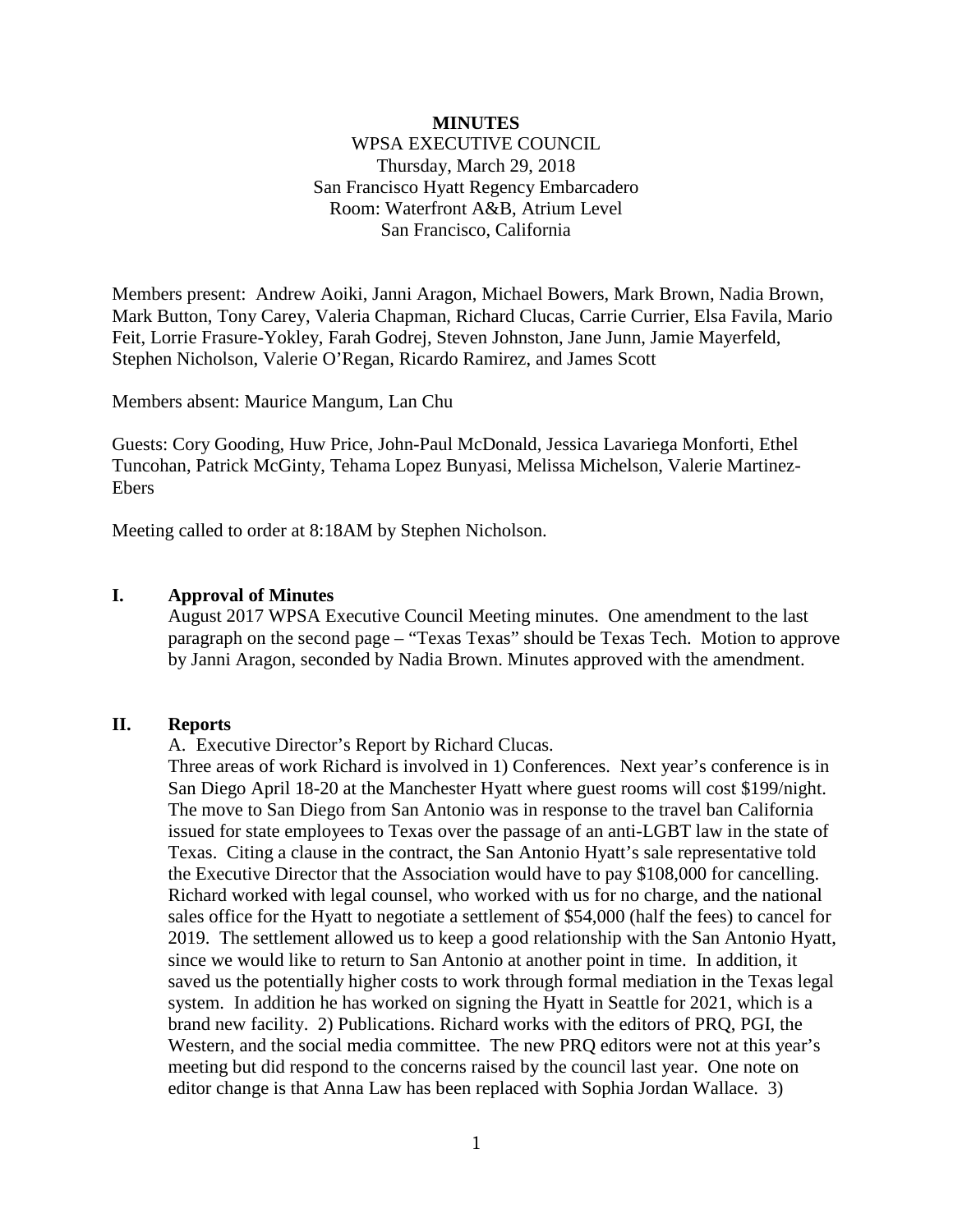# **MINUTES** WPSA EXECUTIVE COUNCIL Thursday, March 29, 2018 San Francisco Hyatt Regency Embarcadero Room: Waterfront A&B, Atrium Level San Francisco, California

Members present: Andrew Aoiki, Janni Aragon, Michael Bowers, Mark Brown, Nadia Brown, Mark Button, Tony Carey, Valeria Chapman, Richard Clucas, Carrie Currier, Elsa Favila, Mario Feit, Lorrie Frasure-Yokley, Farah Godrej, Steven Johnston, Jane Junn, Jamie Mayerfeld, Stephen Nicholson, Valerie O'Regan, Ricardo Ramirez, and James Scott

Members absent: Maurice Mangum, Lan Chu

Guests: Cory Gooding, Huw Price, John-Paul McDonald, Jessica Lavariega Monforti, Ethel Tuncohan, Patrick McGinty, Tehama Lopez Bunyasi, Melissa Michelson, Valerie Martinez-Ebers

Meeting called to order at 8:18AM by Stephen Nicholson.

## **I. Approval of Minutes**

August 2017 WPSA Executive Council Meeting minutes. One amendment to the last paragraph on the second page – "Texas Texas" should be Texas Tech. Motion to approve by Janni Aragon, seconded by Nadia Brown. Minutes approved with the amendment.

## **II. Reports**

A. Executive Director's Report by Richard Clucas.

Three areas of work Richard is involved in 1) Conferences. Next year's conference is in San Diego April 18-20 at the Manchester Hyatt where guest rooms will cost \$199/night. The move to San Diego from San Antonio was in response to the travel ban California issued for state employees to Texas over the passage of an anti-LGBT law in the state of Texas. Citing a clause in the contract, the San Antonio Hyatt's sale representative told the Executive Director that the Association would have to pay \$108,000 for cancelling. Richard worked with legal counsel, who worked with us for no charge, and the national sales office for the Hyatt to negotiate a settlement of \$54,000 (half the fees) to cancel for 2019. The settlement allowed us to keep a good relationship with the San Antonio Hyatt, since we would like to return to San Antonio at another point in time. In addition, it saved us the potentially higher costs to work through formal mediation in the Texas legal system. In addition he has worked on signing the Hyatt in Seattle for 2021, which is a brand new facility. 2) Publications. Richard works with the editors of PRQ, PGI, the Western, and the social media committee. The new PRQ editors were not at this year's meeting but did respond to the concerns raised by the council last year. One note on editor change is that Anna Law has been replaced with Sophia Jordan Wallace. 3)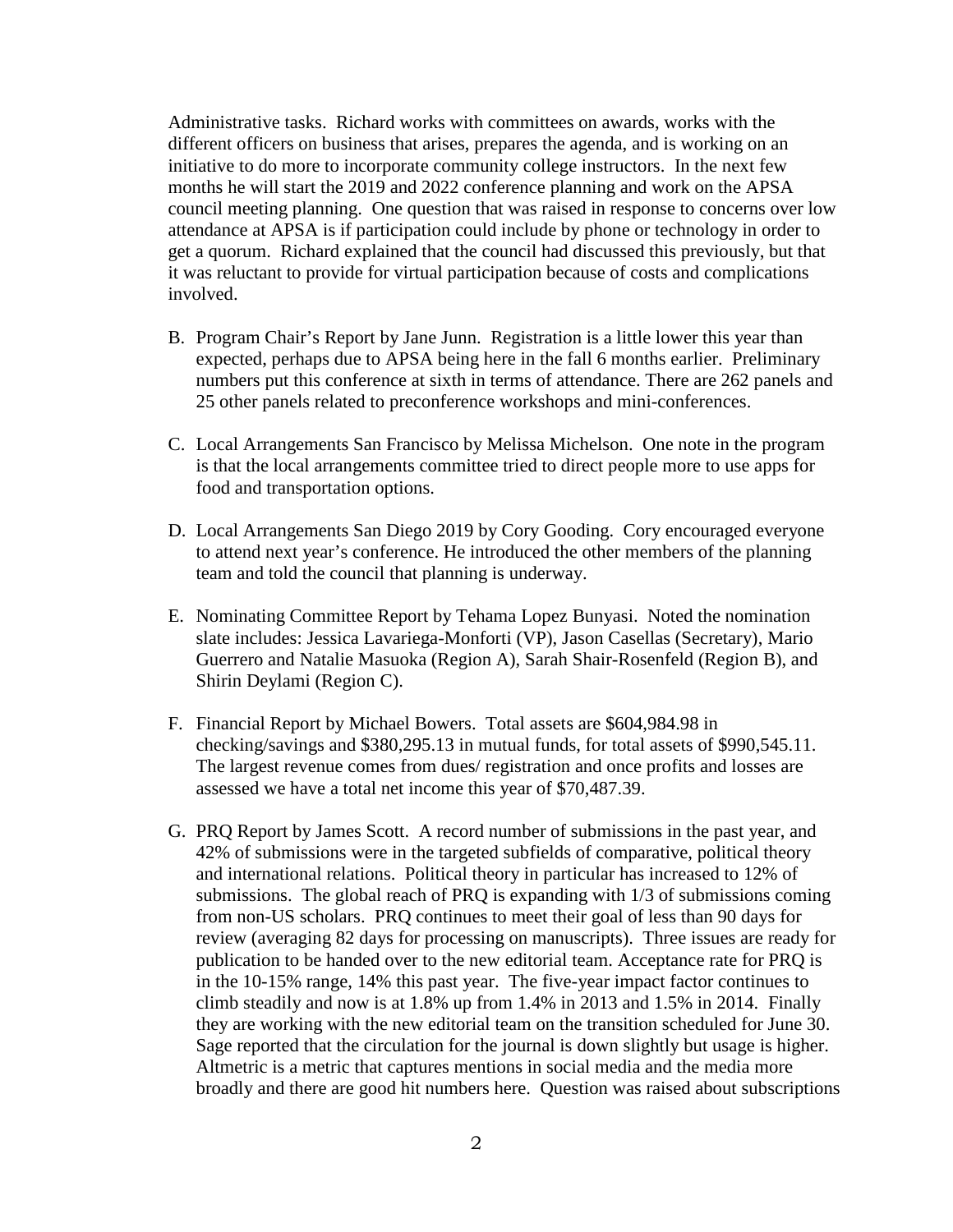Administrative tasks. Richard works with committees on awards, works with the different officers on business that arises, prepares the agenda, and is working on an initiative to do more to incorporate community college instructors. In the next few months he will start the 2019 and 2022 conference planning and work on the APSA council meeting planning. One question that was raised in response to concerns over low attendance at APSA is if participation could include by phone or technology in order to get a quorum. Richard explained that the council had discussed this previously, but that it was reluctant to provide for virtual participation because of costs and complications involved.

- B. Program Chair's Report by Jane Junn. Registration is a little lower this year than expected, perhaps due to APSA being here in the fall 6 months earlier. Preliminary numbers put this conference at sixth in terms of attendance. There are 262 panels and 25 other panels related to preconference workshops and mini-conferences.
- C. Local Arrangements San Francisco by Melissa Michelson. One note in the program is that the local arrangements committee tried to direct people more to use apps for food and transportation options.
- D. Local Arrangements San Diego 2019 by Cory Gooding. Cory encouraged everyone to attend next year's conference. He introduced the other members of the planning team and told the council that planning is underway.
- E. Nominating Committee Report by Tehama Lopez Bunyasi. Noted the nomination slate includes: Jessica Lavariega-Monforti (VP), Jason Casellas (Secretary), Mario Guerrero and Natalie Masuoka (Region A), Sarah Shair-Rosenfeld (Region B), and Shirin Deylami (Region C).
- F. Financial Report by Michael Bowers. Total assets are \$604,984.98 in checking/savings and \$380,295.13 in mutual funds, for total assets of \$990,545.11. The largest revenue comes from dues/ registration and once profits and losses are assessed we have a total net income this year of \$70,487.39.
- G. PRQ Report by James Scott. A record number of submissions in the past year, and 42% of submissions were in the targeted subfields of comparative, political theory and international relations. Political theory in particular has increased to 12% of submissions. The global reach of PRQ is expanding with 1/3 of submissions coming from non-US scholars. PRQ continues to meet their goal of less than 90 days for review (averaging 82 days for processing on manuscripts). Three issues are ready for publication to be handed over to the new editorial team. Acceptance rate for PRQ is in the 10-15% range, 14% this past year. The five-year impact factor continues to climb steadily and now is at 1.8% up from 1.4% in 2013 and 1.5% in 2014. Finally they are working with the new editorial team on the transition scheduled for June 30. Sage reported that the circulation for the journal is down slightly but usage is higher. Altmetric is a metric that captures mentions in social media and the media more broadly and there are good hit numbers here. Question was raised about subscriptions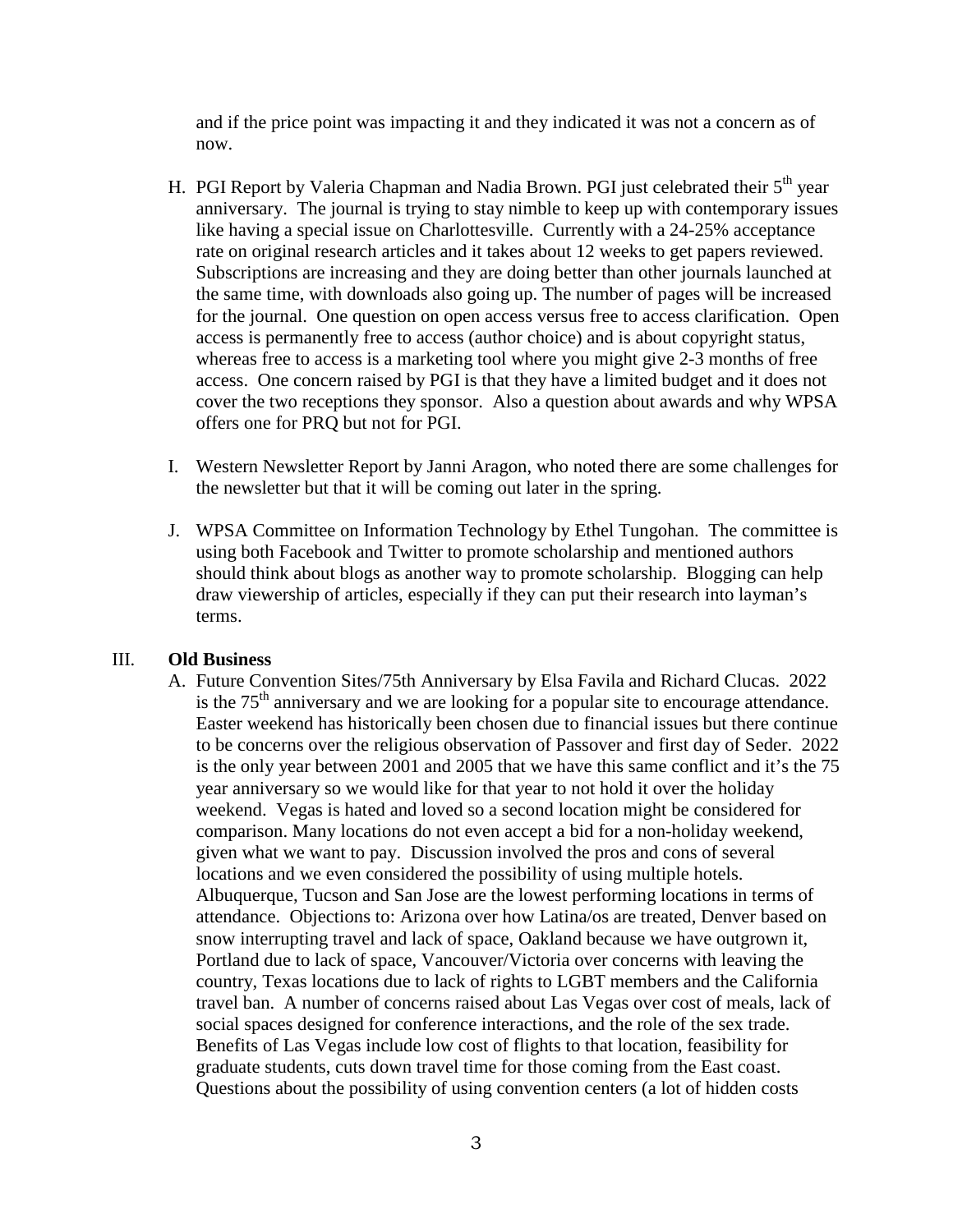and if the price point was impacting it and they indicated it was not a concern as of now.

- H. PGI Report by Valeria Chapman and Nadia Brown. PGI just celebrated their 5<sup>th</sup> year anniversary. The journal is trying to stay nimble to keep up with contemporary issues like having a special issue on Charlottesville. Currently with a 24-25% acceptance rate on original research articles and it takes about 12 weeks to get papers reviewed. Subscriptions are increasing and they are doing better than other journals launched at the same time, with downloads also going up. The number of pages will be increased for the journal. One question on open access versus free to access clarification. Open access is permanently free to access (author choice) and is about copyright status, whereas free to access is a marketing tool where you might give 2-3 months of free access. One concern raised by PGI is that they have a limited budget and it does not cover the two receptions they sponsor. Also a question about awards and why WPSA offers one for PRQ but not for PGI.
- I. Western Newsletter Report by Janni Aragon, who noted there are some challenges for the newsletter but that it will be coming out later in the spring.
- J. WPSA Committee on Information Technology by Ethel Tungohan. The committee is using both Facebook and Twitter to promote scholarship and mentioned authors should think about blogs as another way to promote scholarship. Blogging can help draw viewership of articles, especially if they can put their research into layman's terms.

# III. **Old Business**

A. Future Convention Sites/75th Anniversary by Elsa Favila and Richard Clucas. 2022 is the  $75<sup>th</sup>$  anniversary and we are looking for a popular site to encourage attendance. Easter weekend has historically been chosen due to financial issues but there continue to be concerns over the religious observation of Passover and first day of Seder. 2022 is the only year between 2001 and 2005 that we have this same conflict and it's the 75 year anniversary so we would like for that year to not hold it over the holiday weekend. Vegas is hated and loved so a second location might be considered for comparison. Many locations do not even accept a bid for a non-holiday weekend, given what we want to pay. Discussion involved the pros and cons of several locations and we even considered the possibility of using multiple hotels. Albuquerque, Tucson and San Jose are the lowest performing locations in terms of attendance. Objections to: Arizona over how Latina/os are treated, Denver based on snow interrupting travel and lack of space, Oakland because we have outgrown it, Portland due to lack of space, Vancouver/Victoria over concerns with leaving the country, Texas locations due to lack of rights to LGBT members and the California travel ban. A number of concerns raised about Las Vegas over cost of meals, lack of social spaces designed for conference interactions, and the role of the sex trade. Benefits of Las Vegas include low cost of flights to that location, feasibility for graduate students, cuts down travel time for those coming from the East coast. Questions about the possibility of using convention centers (a lot of hidden costs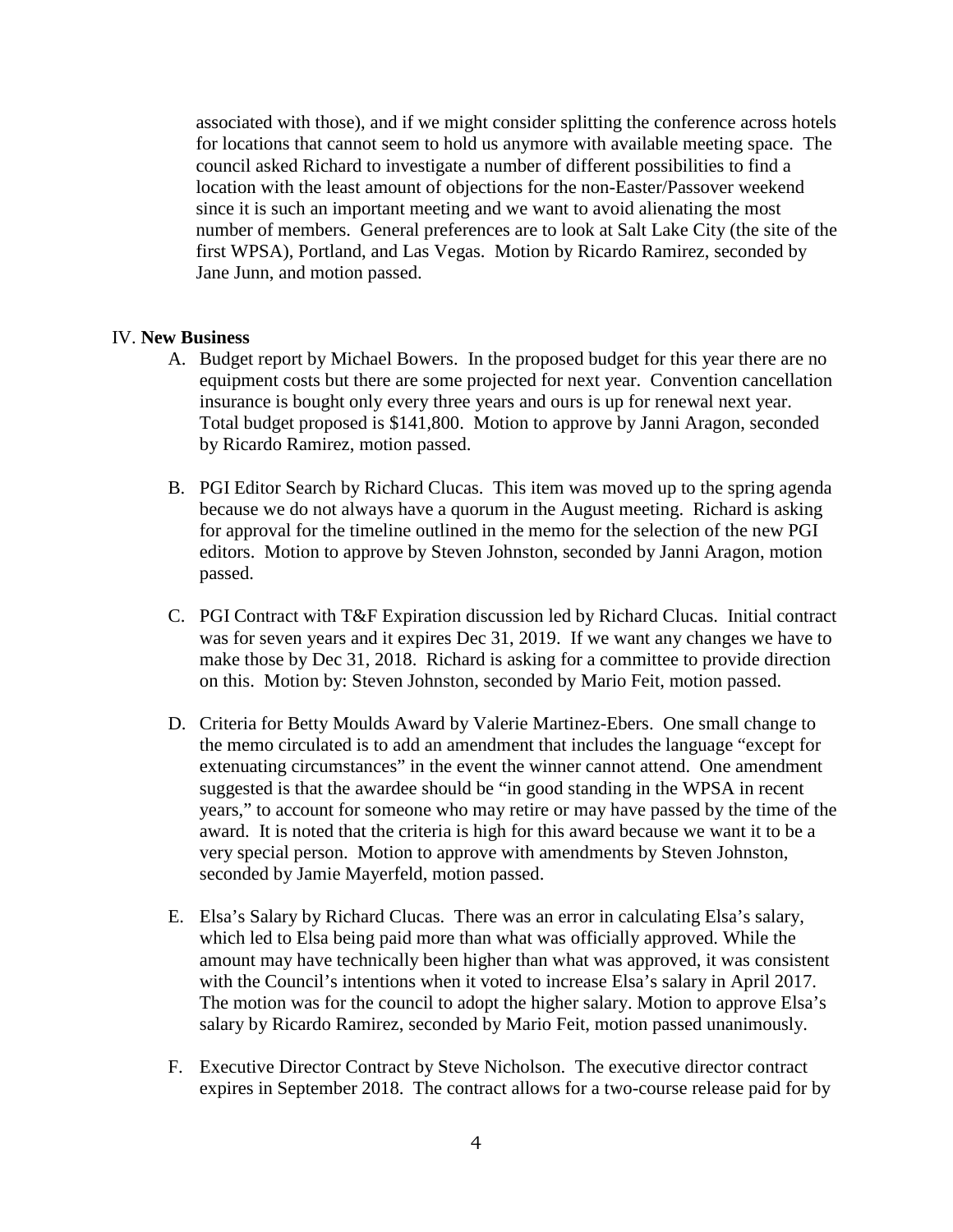associated with those), and if we might consider splitting the conference across hotels for locations that cannot seem to hold us anymore with available meeting space. The council asked Richard to investigate a number of different possibilities to find a location with the least amount of objections for the non-Easter/Passover weekend since it is such an important meeting and we want to avoid alienating the most number of members. General preferences are to look at Salt Lake City (the site of the first WPSA), Portland, and Las Vegas. Motion by Ricardo Ramirez, seconded by Jane Junn, and motion passed.

## IV. **New Business**

- A. Budget report by Michael Bowers. In the proposed budget for this year there are no equipment costs but there are some projected for next year. Convention cancellation insurance is bought only every three years and ours is up for renewal next year. Total budget proposed is \$141,800. Motion to approve by Janni Aragon, seconded by Ricardo Ramirez, motion passed.
- B. PGI Editor Search by Richard Clucas. This item was moved up to the spring agenda because we do not always have a quorum in the August meeting. Richard is asking for approval for the timeline outlined in the memo for the selection of the new PGI editors. Motion to approve by Steven Johnston, seconded by Janni Aragon, motion passed.
- C. PGI Contract with T&F Expiration discussion led by Richard Clucas. Initial contract was for seven years and it expires Dec 31, 2019. If we want any changes we have to make those by Dec 31, 2018. Richard is asking for a committee to provide direction on this. Motion by: Steven Johnston, seconded by Mario Feit, motion passed.
- D. Criteria for Betty Moulds Award by Valerie Martinez-Ebers. One small change to the memo circulated is to add an amendment that includes the language "except for extenuating circumstances" in the event the winner cannot attend. One amendment suggested is that the awardee should be "in good standing in the WPSA in recent years," to account for someone who may retire or may have passed by the time of the award. It is noted that the criteria is high for this award because we want it to be a very special person. Motion to approve with amendments by Steven Johnston, seconded by Jamie Mayerfeld, motion passed.
- E. Elsa's Salary by Richard Clucas. There was an error in calculating Elsa's salary, which led to Elsa being paid more than what was officially approved. While the amount may have technically been higher than what was approved, it was consistent with the Council's intentions when it voted to increase Elsa's salary in April 2017. The motion was for the council to adopt the higher salary. Motion to approve Elsa's salary by Ricardo Ramirez, seconded by Mario Feit, motion passed unanimously.
- F. Executive Director Contract by Steve Nicholson. The executive director contract expires in September 2018. The contract allows for a two-course release paid for by